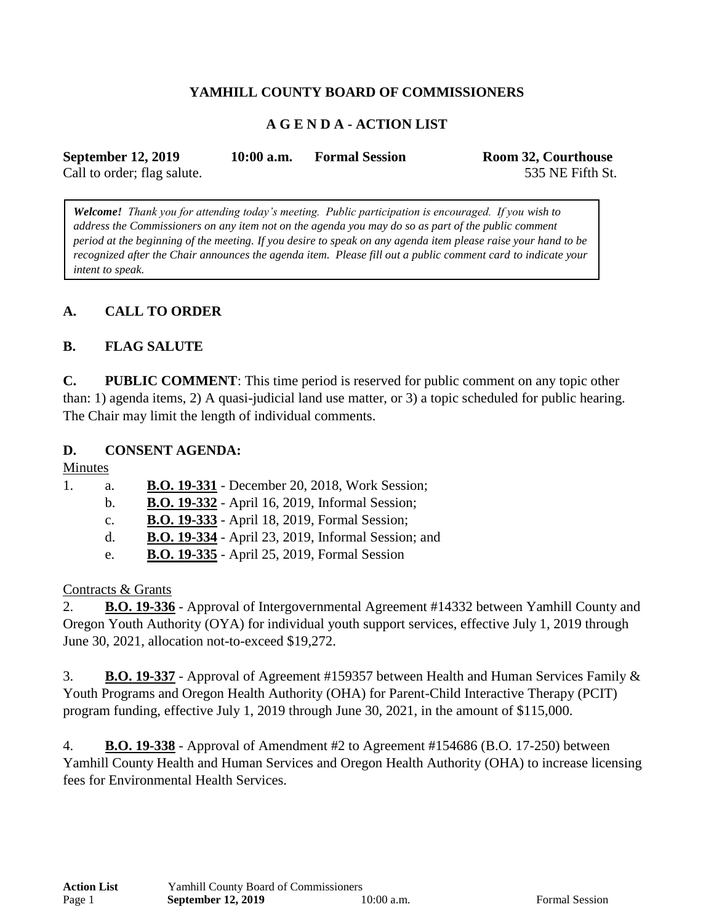# **YAMHILL COUNTY BOARD OF COMMISSIONERS**

## **A G E N D A - ACTION LIST**

| <b>September 12, 2019</b>   | $10:00$ a.m. | <b>Formal Session</b> | Room 32, Courthouse |
|-----------------------------|--------------|-----------------------|---------------------|
| Call to order; flag salute. |              |                       | 535 NE Fifth St.    |

*Welcome! Thank you for attending today's meeting. Public participation is encouraged. If you wish to address the Commissioners on any item not on the agenda you may do so as part of the public comment period at the beginning of the meeting. If you desire to speak on any agenda item please raise your hand to be recognized after the Chair announces the agenda item. Please fill out a public comment card to indicate your intent to speak.*

### **A. CALL TO ORDER**

#### **B. FLAG SALUTE**

**C. PUBLIC COMMENT**: This time period is reserved for public comment on any topic other than: 1) agenda items, 2) A quasi-judicial land use matter, or 3) a topic scheduled for public hearing. The Chair may limit the length of individual comments.

#### **D. CONSENT AGENDA:**

Minutes

1. a. **B.O. 19-331** - December 20, 2018, Work Session; b. **B.O. 19-332** - April 16, 2019, Informal Session; c. **B.O. 19-333** - April 18, 2019, Formal Session; d. **B.O. 19-334** - April 23, 2019, Informal Session; and e. **B.O. 19-335** - April 25, 2019, Formal Session

Contracts & Grants

2. **B.O. 19-336** - Approval of Intergovernmental Agreement #14332 between Yamhill County and Oregon Youth Authority (OYA) for individual youth support services, effective July 1, 2019 through June 30, 2021, allocation not-to-exceed \$19,272.

3. **B.O. 19-337** - Approval of Agreement #159357 between Health and Human Services Family & Youth Programs and Oregon Health Authority (OHA) for Parent-Child Interactive Therapy (PCIT) program funding, effective July 1, 2019 through June 30, 2021, in the amount of \$115,000.

4. **B.O. 19-338** - Approval of Amendment #2 to Agreement #154686 (B.O. 17-250) between Yamhill County Health and Human Services and Oregon Health Authority (OHA) to increase licensing fees for Environmental Health Services.